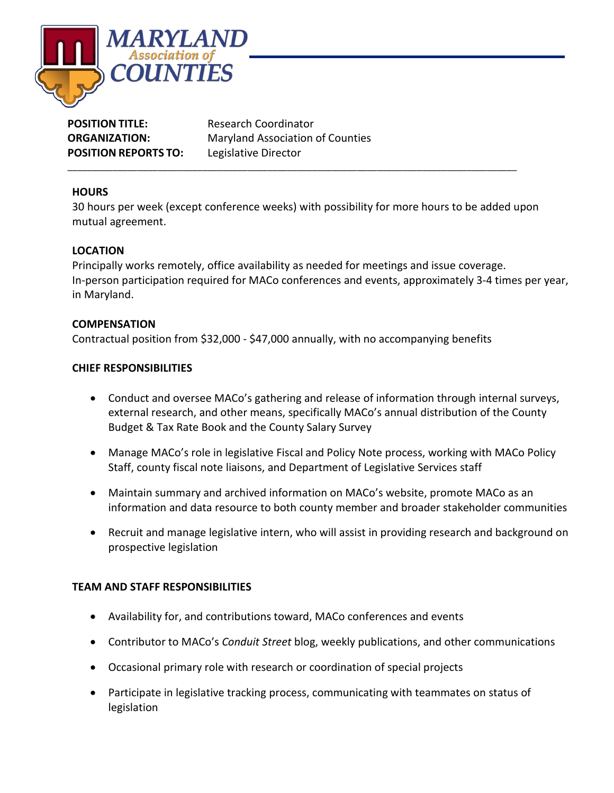

| <b>POSITION TITLE:</b>      | <b>Research Coordinator</b>             |
|-----------------------------|-----------------------------------------|
| <b>ORGANIZATION:</b>        | <b>Maryland Association of Counties</b> |
| <b>POSITION REPORTS TO:</b> | Legislative Director                    |

# **HOURS**

30 hours per week (except conference weeks) with possibility for more hours to be added upon mutual agreement.

\_\_\_\_\_\_\_\_\_\_\_\_\_\_\_\_\_\_\_\_\_\_\_\_\_\_\_\_\_\_\_\_\_\_\_\_\_\_\_\_\_\_\_\_\_\_\_\_\_\_\_\_\_\_\_\_\_\_\_\_\_\_\_\_\_\_\_\_\_\_\_\_\_\_\_\_\_\_\_\_\_\_\_\_\_\_\_\_\_\_

# **LOCATION**

Principally works remotely, office availability as needed for meetings and issue coverage. In-person participation required for MACo conferences and events, approximately 3-4 times per year, in Maryland.

### **COMPENSATION**

Contractual position from \$32,000 - \$47,000 annually, with no accompanying benefits

### **CHIEF RESPONSIBILITIES**

- Conduct and oversee MACo's gathering and release of information through internal surveys, external research, and other means, specifically MACo's annual distribution of the County Budget & Tax Rate Book and the County Salary Survey
- Manage MACo's role in legislative Fiscal and Policy Note process, working with MACo Policy Staff, county fiscal note liaisons, and Department of Legislative Services staff
- Maintain summary and archived information on MACo's website, promote MACo as an information and data resource to both county member and broader stakeholder communities
- Recruit and manage legislative intern, who will assist in providing research and background on prospective legislation

### **TEAM AND STAFF RESPONSIBILITIES**

- Availability for, and contributions toward, MACo conferences and events
- Contributor to MACo's *Conduit Street* blog, weekly publications, and other communications
- Occasional primary role with research or coordination of special projects
- Participate in legislative tracking process, communicating with teammates on status of legislation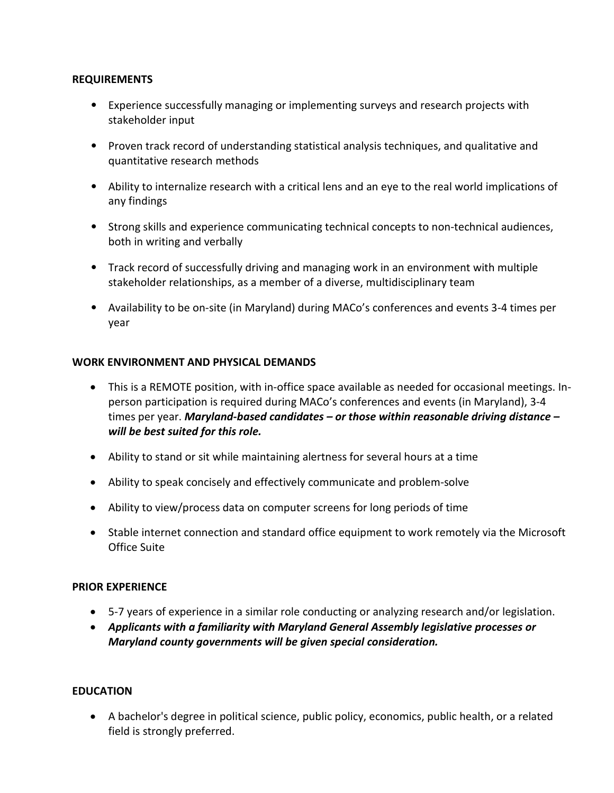### **REQUIREMENTS**

- Experience successfully managing or implementing surveys and research projects with stakeholder input
- Proven track record of understanding statistical analysis techniques, and qualitative and quantitative research methods
- Ability to internalize research with a critical lens and an eye to the real world implications of any findings
- Strong skills and experience communicating technical concepts to non-technical audiences, both in writing and verbally
- Track record of successfully driving and managing work in an environment with multiple stakeholder relationships, as a member of a diverse, multidisciplinary team
- Availability to be on-site (in Maryland) during MACo's conferences and events 3-4 times per year

#### **WORK ENVIRONMENT AND PHYSICAL DEMANDS**

- This is a REMOTE position, with in-office space available as needed for occasional meetings. Inperson participation is required during MACo's conferences and events (in Maryland), 3-4 times per year. *Maryland-based candidates – or those within reasonable driving distance – will be best suited for this role.*
- Ability to stand or sit while maintaining alertness for several hours at a time
- Ability to speak concisely and effectively communicate and problem-solve
- Ability to view/process data on computer screens for long periods of time
- Stable internet connection and standard office equipment to work remotely via the Microsoft Office Suite

### **PRIOR EXPERIENCE**

- 5-7 years of experience in a similar role conducting or analyzing research and/or legislation.
- *Applicants with a familiarity with Maryland General Assembly legislative processes or Maryland county governments will be given special consideration.*

### **EDUCATION**

• A bachelor's degree in political science, public policy, economics, public health, or a related field is strongly preferred.